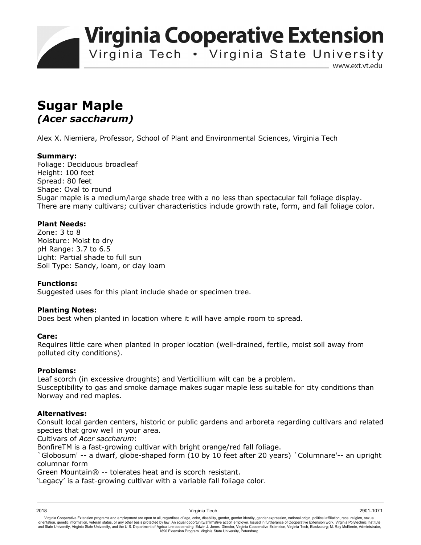**Virginia Cooperative Extension** 

Virginia Tech . Virginia State University

www.ext.vt.edu

# **Sugar Maple**  *(Acer saccharum)*

Alex X. Niemiera, Professor, School of Plant and Environmental Sciences, Virginia Tech

## **Summary:**

Foliage: Deciduous broadleaf Height: 100 feet Spread: 80 feet Shape: Oval to round Sugar maple is a medium/large shade tree with a no less than spectacular fall foliage display. There are many cultivars; cultivar characteristics include growth rate, form, and fall foliage color.

## **Plant Needs:**

Zone: 3 to 8 Moisture: Moist to dry pH Range: 3.7 to 6.5 Light: Partial shade to full sun Soil Type: Sandy, loam, or clay loam

### **Functions:**

Suggested uses for this plant include shade or specimen tree.

### **Planting Notes:**

Does best when planted in location where it will have ample room to spread.

### **Care:**

Requires little care when planted in proper location (well-drained, fertile, moist soil away from polluted city conditions).

### **Problems:**

Leaf scorch (in excessive droughts) and Verticillium wilt can be a problem.

Susceptibility to gas and smoke damage makes sugar maple less suitable for city conditions than Norway and red maples.

## **Alternatives:**

Consult local garden centers, historic or public gardens and arboreta regarding cultivars and related species that grow well in your area.

Cultivars of *Acer saccharum*:

BonfireTM is a fast-growing cultivar with bright orange/red fall foliage.

`Globosum' -- a dwarf, globe-shaped form (10 by 10 feet after 20 years) `Columnare'-- an upright columnar form

Green Mountain® -- tolerates heat and is scorch resistant.

'Legacy' is a fast-growing cultivar with a variable fall foliage color.